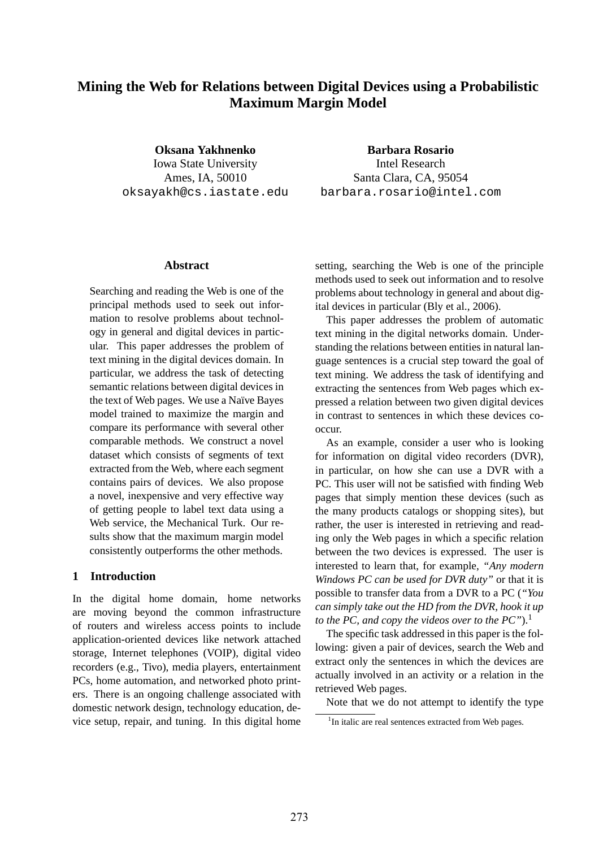# **Mining the Web for Relations between Digital Devices using a Probabilistic Maximum Margin Model**

**Oksana Yakhnenko** Iowa State University Ames, IA, 50010 oksayakh@cs.iastate.edu

**Barbara Rosario** Intel Research Santa Clara, CA, 95054 barbara.rosario@intel.com

#### **Abstract**

Searching and reading the Web is one of the principal methods used to seek out information to resolve problems about technology in general and digital devices in particular. This paper addresses the problem of text mining in the digital devices domain. In particular, we address the task of detecting semantic relations between digital devices in the text of Web pages. We use a Naïve Bayes model trained to maximize the margin and compare its performance with several other comparable methods. We construct a novel dataset which consists of segments of text extracted from the Web, where each segment contains pairs of devices. We also propose a novel, inexpensive and very effective way of getting people to label text data using a Web service, the Mechanical Turk. Our results show that the maximum margin model consistently outperforms the other methods.

#### **1 Introduction**

In the digital home domain, home networks are moving beyond the common infrastructure of routers and wireless access points to include application-oriented devices like network attached storage, Internet telephones (VOIP), digital video recorders (e.g., Tivo), media players, entertainment PCs, home automation, and networked photo printers. There is an ongoing challenge associated with domestic network design, technology education, device setup, repair, and tuning. In this digital home

setting, searching the Web is one of the principle methods used to seek out information and to resolve problems about technology in general and about digital devices in particular (Bly et al., 2006).

This paper addresses the problem of automatic text mining in the digital networks domain. Understanding the relations between entities in natural language sentences is a crucial step toward the goal of text mining. We address the task of identifying and extracting the sentences from Web pages which expressed a relation between two given digital devices in contrast to sentences in which these devices cooccur.

As an example, consider a user who is looking for information on digital video recorders (DVR), in particular, on how she can use a DVR with a PC. This user will not be satisfied with finding Web pages that simply mention these devices (such as the many products catalogs or shopping sites), but rather, the user is interested in retrieving and reading only the Web pages in which a specific relation between the two devices is expressed. The user is interested to learn that, for example, *"Any modern Windows PC can be used for DVR duty"* or that it is possible to transfer data from a DVR to a PC (*"You can simply take out the HD from the DVR, hook it up to the PC, and copy the videos over to the PC"*).<sup>1</sup>

The specific task addressed in this paper is the following: given a pair of devices, search the Web and extract only the sentences in which the devices are actually involved in an activity or a relation in the retrieved Web pages.

Note that we do not attempt to identify the type

 $1$ In italic are real sentences extracted from Web pages.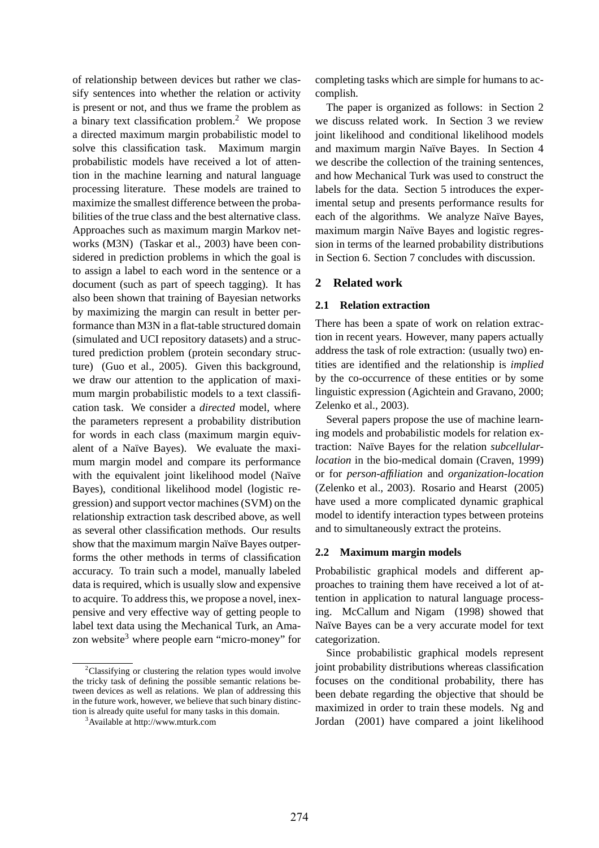of relationship between devices but rather we classify sentences into whether the relation or activity is present or not, and thus we frame the problem as a binary text classification problem.<sup>2</sup> We propose a directed maximum margin probabilistic model to solve this classification task. Maximum margin probabilistic models have received a lot of attention in the machine learning and natural language processing literature. These models are trained to maximize the smallest difference between the probabilities of the true class and the best alternative class. Approaches such as maximum margin Markov networks (M3N) (Taskar et al., 2003) have been considered in prediction problems in which the goal is to assign a label to each word in the sentence or a document (such as part of speech tagging). It has also been shown that training of Bayesian networks by maximizing the margin can result in better performance than M3N in a flat-table structured domain (simulated and UCI repository datasets) and a structured prediction problem (protein secondary structure) (Guo et al., 2005). Given this background, we draw our attention to the application of maximum margin probabilistic models to a text classification task. We consider a *directed* model, where the parameters represent a probability distribution for words in each class (maximum margin equivalent of a Naïve Bayes). We evaluate the maximum margin model and compare its performance with the equivalent joint likelihood model (Naïve Bayes), conditional likelihood model (logistic regression) and support vector machines (SVM) on the relationship extraction task described above, as well as several other classification methods. Our results show that the maximum margin Naïve Bayes outperforms the other methods in terms of classification accuracy. To train such a model, manually labeled data is required, which is usually slow and expensive to acquire. To address this, we propose a novel, inexpensive and very effective way of getting people to label text data using the Mechanical Turk, an Amazon website<sup>3</sup> where people earn "micro-money" for

completing tasks which are simple for humans to accomplish.

The paper is organized as follows: in Section 2 we discuss related work. In Section 3 we review joint likelihood and conditional likelihood models and maximum margin Naïve Bayes. In Section 4 we describe the collection of the training sentences, and how Mechanical Turk was used to construct the labels for the data. Section 5 introduces the experimental setup and presents performance results for each of the algorithms. We analyze Naïve Bayes, maximum margin Naïve Bayes and logistic regression in terms of the learned probability distributions in Section 6. Section 7 concludes with discussion.

## **2 Related work**

#### **2.1 Relation extraction**

There has been a spate of work on relation extraction in recent years. However, many papers actually address the task of role extraction: (usually two) entities are identified and the relationship is *implied* by the co-occurrence of these entities or by some linguistic expression (Agichtein and Gravano, 2000; Zelenko et al., 2003).

Several papers propose the use of machine learning models and probabilistic models for relation extraction: Na¨ıve Bayes for the relation *subcellularlocation* in the bio-medical domain (Craven, 1999) or for *person-affiliation* and *organization-location* (Zelenko et al., 2003). Rosario and Hearst (2005) have used a more complicated dynamic graphical model to identify interaction types between proteins and to simultaneously extract the proteins.

#### **2.2 Maximum margin models**

Probabilistic graphical models and different approaches to training them have received a lot of attention in application to natural language processing. McCallum and Nigam (1998) showed that Naïve Bayes can be a very accurate model for text categorization.

Since probabilistic graphical models represent joint probability distributions whereas classification focuses on the conditional probability, there has been debate regarding the objective that should be maximized in order to train these models. Ng and Jordan (2001) have compared a joint likelihood

 $2$ Classifying or clustering the relation types would involve the tricky task of defining the possible semantic relations between devices as well as relations. We plan of addressing this in the future work, however, we believe that such binary distinction is already quite useful for many tasks in this domain.

<sup>3</sup>Available at http://www.mturk.com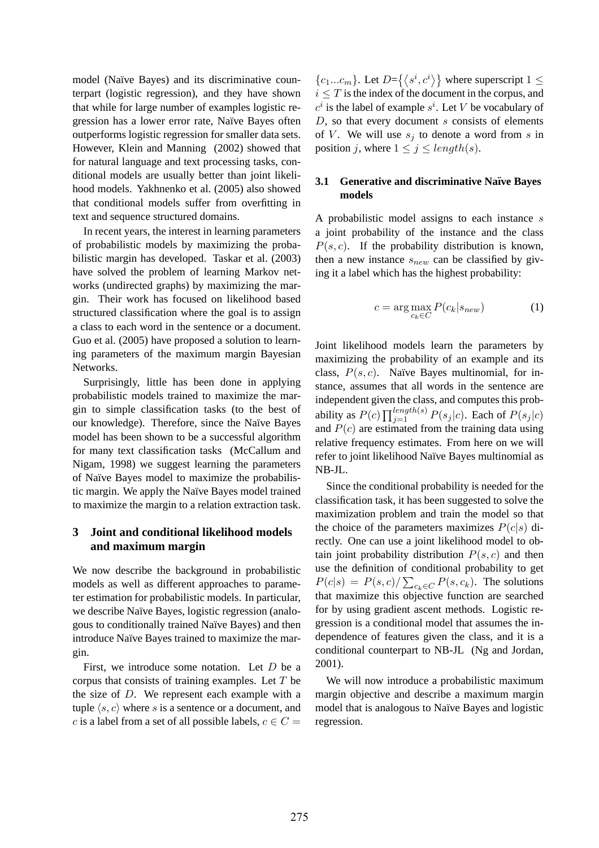model (Naïve Bayes) and its discriminative counterpart (logistic regression), and they have shown that while for large number of examples logistic regression has a lower error rate, Naïve Bayes often outperforms logistic regression for smaller data sets. However, Klein and Manning (2002) showed that for natural language and text processing tasks, conditional models are usually better than joint likelihood models. Yakhnenko et al. (2005) also showed that conditional models suffer from overfitting in text and sequence structured domains.

In recent years, the interest in learning parameters of probabilistic models by maximizing the probabilistic margin has developed. Taskar et al. (2003) have solved the problem of learning Markov networks (undirected graphs) by maximizing the margin. Their work has focused on likelihood based structured classification where the goal is to assign a class to each word in the sentence or a document. Guo et al. (2005) have proposed a solution to learning parameters of the maximum margin Bayesian Networks.

Surprisingly, little has been done in applying probabilistic models trained to maximize the margin to simple classification tasks (to the best of our knowledge). Therefore, since the Naïve Bayes model has been shown to be a successful algorithm for many text classification tasks (McCallum and Nigam, 1998) we suggest learning the parameters of Na¨ıve Bayes model to maximize the probabilistic margin. We apply the Naïve Bayes model trained to maximize the margin to a relation extraction task.

## **3 Joint and conditional likelihood models and maximum margin**

We now describe the background in probabilistic models as well as different approaches to parameter estimation for probabilistic models. In particular, we describe Naïve Bayes, logistic regression (analogous to conditionally trained Naïve Bayes) and then introduce Naïve Bayes trained to maximize the margin.

First, we introduce some notation. Let D be a corpus that consists of training examples. Let  $T$  be the size of D. We represent each example with a tuple  $\langle s, c \rangle$  where s is a sentence or a document, and c is a label from a set of all possible labels,  $c \in C$  =

 ${c_1...c_m}$ . Let  $D = \{\langle s^i, c^i \rangle\}$  where superscript  $1 \leq$  $i \leq T$  is the index of the document in the corpus, and  $c^i$  is the label of example  $s^i$ . Let V be vocabulary of  $D$ , so that every document s consists of elements of V. We will use  $s_i$  to denote a word from s in position j, where  $1 \leq j \leq length(s)$ .

## **3.1 Generative and discriminative Na¨ıve Bayes models**

A probabilistic model assigns to each instance  $s$ a joint probability of the instance and the class  $P(s, c)$ . If the probability distribution is known, then a new instance  $s_{new}$  can be classified by giving it a label which has the highest probability:

$$
c = \arg\max_{c_k \in C} P(c_k | s_{new})
$$
 (1)

Joint likelihood models learn the parameters by maximizing the probability of an example and its class,  $P(s, c)$ . Naïve Bayes multinomial, for instance, assumes that all words in the sentence are independent given the class, and computes this probability as  $P(c) \prod_{j=1}^{length(s)} P(s_j|c)$ . Each of  $P(s_j|c)$ and  $P(c)$  are estimated from the training data using relative frequency estimates. From here on we will refer to joint likelihood Naïve Bayes multinomial as NB-JL.

Since the conditional probability is needed for the classification task, it has been suggested to solve the maximization problem and train the model so that the choice of the parameters maximizes  $P(c|s)$  directly. One can use a joint likelihood model to obtain joint probability distribution  $P(s, c)$  and then use the definition of conditional probability to get  $P(c|s) = P(s, c) / \sum_{c_k \in C} P(s, c_k)$ . The solutions that maximize this objective function are searched for by using gradient ascent methods. Logistic regression is a conditional model that assumes the independence of features given the class, and it is a conditional counterpart to NB-JL (Ng and Jordan, 2001).

We will now introduce a probabilistic maximum margin objective and describe a maximum margin model that is analogous to Naïve Bayes and logistic regression.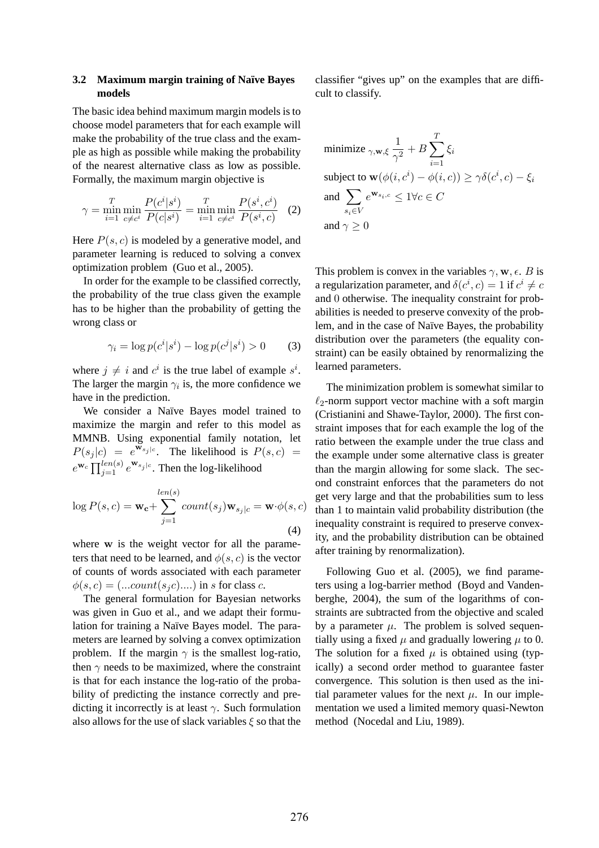#### **3.2 Maximum margin training of Na¨ıve Bayes models**

The basic idea behind maximum margin models is to choose model parameters that for each example will make the probability of the true class and the example as high as possible while making the probability of the nearest alternative class as low as possible. Formally, the maximum margin objective is

$$
\gamma = \min_{i=1}^{T} \min_{c \neq c^i} \frac{P(c^i | s^i)}{P(c | s^i)} = \min_{i=1}^{T} \min_{c \neq c^i} \frac{P(s^i, c^i)}{P(s^i, c)} \tag{2}
$$

Here  $P(s, c)$  is modeled by a generative model, and parameter learning is reduced to solving a convex optimization problem (Guo et al., 2005).

In order for the example to be classified correctly, the probability of the true class given the example has to be higher than the probability of getting the wrong class or

$$
\gamma_i = \log p(c^i | s^i) - \log p(c^j | s^i) > 0 \tag{3}
$$

where  $j \neq i$  and  $c^i$  is the true label of example  $s^i$ . The larger the margin  $\gamma_i$  is, the more confidence we have in the prediction.

We consider a Naïve Bayes model trained to maximize the margin and refer to this model as MMNB. Using exponential family notation, let  $P(s_j | c) = e^{w_{s_j | c}}$ . The likelihood is  $P(s, c) =$  $e^{\mathbf{w}_c} \prod_{j=1}^{l_{en}(s)} e^{\mathbf{w}_{s_j|c}}$ . Then the log-likelihood

$$
\log P(s, c) = \mathbf{w_c} + \sum_{j=1}^{len(s)} count(s_j) \mathbf{w}_{s_j|c} = \mathbf{w} \cdot \phi(s, c)
$$
\n(4)

where w is the weight vector for all the parameters that need to be learned, and  $\phi(s, c)$  is the vector of counts of words associated with each parameter  $\phi(s, c) = (...count(s_i c) \dots)$  in s for class c.

The general formulation for Bayesian networks was given in Guo et al., and we adapt their formulation for training a Naïve Bayes model. The parameters are learned by solving a convex optimization problem. If the margin  $\gamma$  is the smallest log-ratio, then  $\gamma$  needs to be maximized, where the constraint is that for each instance the log-ratio of the probability of predicting the instance correctly and predicting it incorrectly is at least  $\gamma$ . Such formulation also allows for the use of slack variables  $\xi$  so that the

classifier "gives up" on the examples that are difficult to classify.

$$
\begin{aligned} & \text{minimize} \; _{\gamma,\mathbf{w},\xi} \frac{1}{\gamma^2} + B \sum_{i=1}^T \xi_i \\ & \text{subject to} \; \mathbf{w}(\phi(i,c^i) - \phi(i,c)) \geq \gamma \delta(c^i,c) - \xi_i \\ & \text{and} \; \sum_{s_i \in V} e^{\mathbf{w}_{s_i,c}} \leq 1 \forall c \in C \\ & \text{and} \; \gamma \geq 0 \end{aligned}
$$

This problem is convex in the variables  $\gamma$ , w,  $\epsilon$ . B is a regularization parameter, and  $\delta(c^i, c) = 1$  if  $c^i \neq c$ and 0 otherwise. The inequality constraint for probabilities is needed to preserve convexity of the problem, and in the case of Naïve Bayes, the probability distribution over the parameters (the equality constraint) can be easily obtained by renormalizing the learned parameters.

The minimization problem is somewhat similar to  $\ell_2$ -norm support vector machine with a soft margin (Cristianini and Shawe-Taylor, 2000). The first constraint imposes that for each example the log of the ratio between the example under the true class and the example under some alternative class is greater than the margin allowing for some slack. The second constraint enforces that the parameters do not get very large and that the probabilities sum to less than 1 to maintain valid probability distribution (the inequality constraint is required to preserve convexity, and the probability distribution can be obtained after training by renormalization).

Following Guo et al. (2005), we find parameters using a log-barrier method (Boyd and Vandenberghe, 2004), the sum of the logarithms of constraints are subtracted from the objective and scaled by a parameter  $\mu$ . The problem is solved sequentially using a fixed  $\mu$  and gradually lowering  $\mu$  to 0. The solution for a fixed  $\mu$  is obtained using (typically) a second order method to guarantee faster convergence. This solution is then used as the initial parameter values for the next  $\mu$ . In our implementation we used a limited memory quasi-Newton method (Nocedal and Liu, 1989).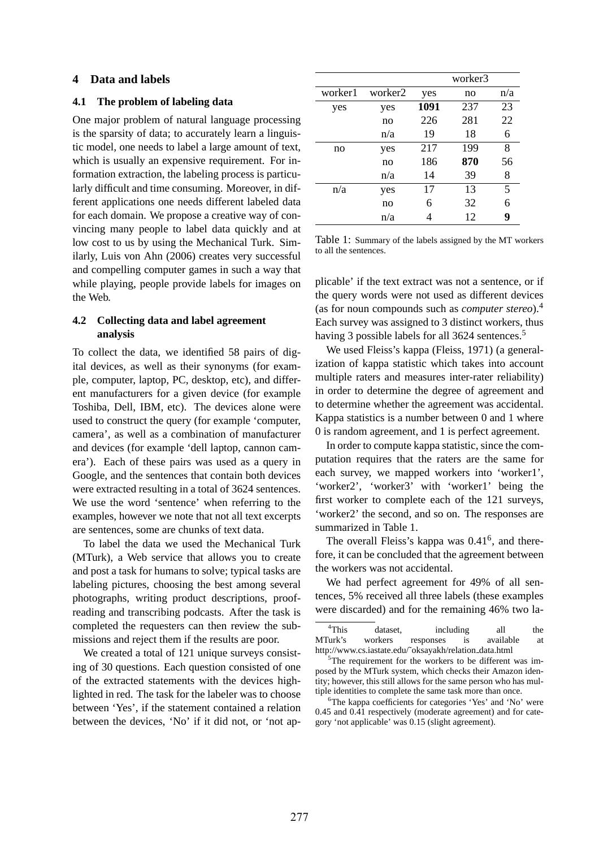#### **4 Data and labels**

#### **4.1 The problem of labeling data**

One major problem of natural language processing is the sparsity of data; to accurately learn a linguistic model, one needs to label a large amount of text, which is usually an expensive requirement. For information extraction, the labeling process is particularly difficult and time consuming. Moreover, in different applications one needs different labeled data for each domain. We propose a creative way of convincing many people to label data quickly and at low cost to us by using the Mechanical Turk. Similarly, Luis von Ahn (2006) creates very successful and compelling computer games in such a way that while playing, people provide labels for images on the Web.

### **4.2 Collecting data and label agreement analysis**

To collect the data, we identified 58 pairs of digital devices, as well as their synonyms (for example, computer, laptop, PC, desktop, etc), and different manufacturers for a given device (for example Toshiba, Dell, IBM, etc). The devices alone were used to construct the query (for example 'computer, camera', as well as a combination of manufacturer and devices (for example 'dell laptop, cannon camera'). Each of these pairs was used as a query in Google, and the sentences that contain both devices were extracted resulting in a total of 3624 sentences. We use the word 'sentence' when referring to the examples, however we note that not all text excerpts are sentences, some are chunks of text data.

To label the data we used the Mechanical Turk (MTurk), a Web service that allows you to create and post a task for humans to solve; typical tasks are labeling pictures, choosing the best among several photographs, writing product descriptions, proofreading and transcribing podcasts. After the task is completed the requesters can then review the submissions and reject them if the results are poor.

We created a total of 121 unique surveys consisting of 30 questions. Each question consisted of one of the extracted statements with the devices highlighted in red. The task for the labeler was to choose between 'Yes', if the statement contained a relation between the devices, 'No' if it did not, or 'not ap-

|         |         |      | worker3 |     |
|---------|---------|------|---------|-----|
| worker1 | worker2 | yes  | no      | n/a |
| yes     | yes     | 1091 | 237     | 23  |
|         | no      | 226  | 281     | 22  |
|         | n/a     | 19   | 18      | 6   |
| no      | yes     | 217  | 199     | 8   |
|         | no      | 186  | 870     | 56  |
|         | n/a     | 14   | 39      | 8   |
| n/a     | yes     | 17   | 13      | 5   |
|         | no      | 6    | 32      | 6   |
|         | n/a     |      | 12      | 9   |

Table 1: Summary of the labels assigned by the MT workers to all the sentences.

plicable' if the text extract was not a sentence, or if the query words were not used as different devices (as for noun compounds such as *computer stereo*).<sup>4</sup> Each survey was assigned to 3 distinct workers, thus having 3 possible labels for all 3624 sentences.<sup>5</sup>

We used Fleiss's kappa (Fleiss, 1971) (a generalization of kappa statistic which takes into account multiple raters and measures inter-rater reliability) in order to determine the degree of agreement and to determine whether the agreement was accidental. Kappa statistics is a number between 0 and 1 where 0 is random agreement, and 1 is perfect agreement.

In order to compute kappa statistic, since the computation requires that the raters are the same for each survey, we mapped workers into 'worker1', 'worker2', 'worker3' with 'worker1' being the first worker to complete each of the 121 surveys, 'worker2' the second, and so on. The responses are summarized in Table 1.

The overall Fleiss's kappa was  $0.41<sup>6</sup>$ , and therefore, it can be concluded that the agreement between the workers was not accidental.

We had perfect agreement for 49% of all sentences, 5% received all three labels (these examples were discarded) and for the remaining 46% two la-

<sup>4</sup>This dataset, including all the MTurk's workers responses is available at http://www.cs.iastate.edu/˜oksayakh/relation data.html

<sup>5</sup>The requirement for the workers to be different was imposed by the MTurk system, which checks their Amazon identity; however, this still allows for the same person who has multiple identities to complete the same task more than once.

<sup>6</sup>The kappa coefficients for categories 'Yes' and 'No' were 0.45 and 0.41 respectively (moderate agreement) and for category 'not applicable' was 0.15 (slight agreement).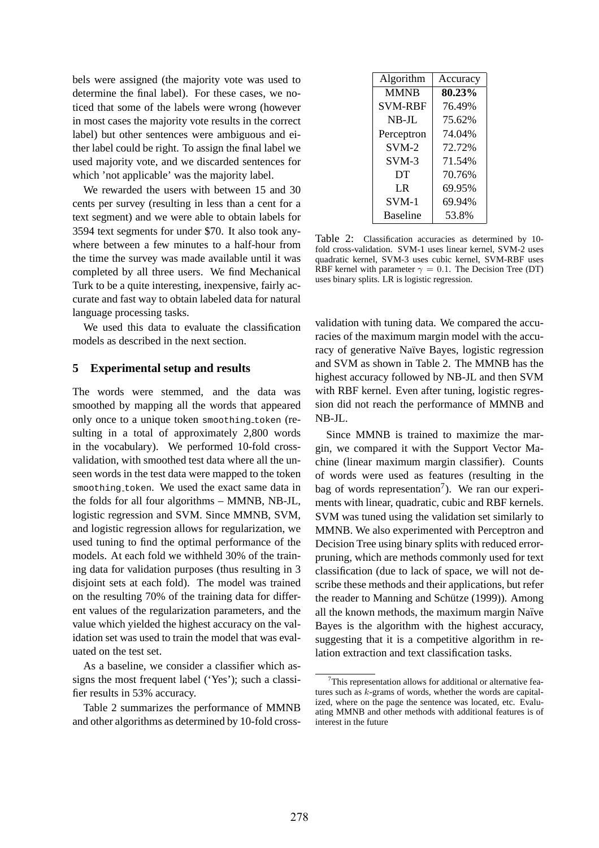bels were assigned (the majority vote was used to determine the final label). For these cases, we noticed that some of the labels were wrong (however in most cases the majority vote results in the correct label) but other sentences were ambiguous and either label could be right. To assign the final label we used majority vote, and we discarded sentences for which 'not applicable' was the majority label.

We rewarded the users with between 15 and 30 cents per survey (resulting in less than a cent for a text segment) and we were able to obtain labels for 3594 text segments for under \$70. It also took anywhere between a few minutes to a half-hour from the time the survey was made available until it was completed by all three users. We find Mechanical Turk to be a quite interesting, inexpensive, fairly accurate and fast way to obtain labeled data for natural language processing tasks.

We used this data to evaluate the classification models as described in the next section.

#### **5 Experimental setup and results**

The words were stemmed, and the data was smoothed by mapping all the words that appeared only once to a unique token smoothing token (resulting in a total of approximately 2,800 words in the vocabulary). We performed 10-fold crossvalidation, with smoothed test data where all the unseen words in the test data were mapped to the token smoothing token. We used the exact same data in the folds for all four algorithms – MMNB, NB-JL, logistic regression and SVM. Since MMNB, SVM, and logistic regression allows for regularization, we used tuning to find the optimal performance of the models. At each fold we withheld 30% of the training data for validation purposes (thus resulting in 3 disjoint sets at each fold). The model was trained on the resulting 70% of the training data for different values of the regularization parameters, and the value which yielded the highest accuracy on the validation set was used to train the model that was evaluated on the test set.

As a baseline, we consider a classifier which assigns the most frequent label ('Yes'); such a classifier results in 53% accuracy.

Table 2 summarizes the performance of MMNB and other algorithms as determined by 10-fold cross-

| Algorithm       | Accuracy |  |
|-----------------|----------|--|
| <b>MMNB</b>     | 80.23%   |  |
| SVM-RBF         | 76.49%   |  |
| NB-JL           | 75.62%   |  |
| Perceptron      | 74.04%   |  |
| $SVM-2$         | 72.72%   |  |
| $SVM-3$         | 71.54%   |  |
| DT              | 70.76%   |  |
| I R             | 69.95%   |  |
| $SVM-1$         | 69.94%   |  |
| <b>Baseline</b> | 53.8%    |  |

Table 2: Classification accuracies as determined by 10 fold cross-validation. SVM-1 uses linear kernel, SVM-2 uses quadratic kernel, SVM-3 uses cubic kernel, SVM-RBF uses RBF kernel with parameter  $\gamma = 0.1$ . The Decision Tree (DT) uses binary splits. LR is logistic regression.

validation with tuning data. We compared the accuracies of the maximum margin model with the accuracy of generative Naïve Bayes, logistic regression and SVM as shown in Table 2. The MMNB has the highest accuracy followed by NB-JL and then SVM with RBF kernel. Even after tuning, logistic regression did not reach the performance of MMNB and NB-JL.

Since MMNB is trained to maximize the margin, we compared it with the Support Vector Machine (linear maximum margin classifier). Counts of words were used as features (resulting in the bag of words representation<sup>7</sup>). We ran our experiments with linear, quadratic, cubic and RBF kernels. SVM was tuned using the validation set similarly to MMNB. We also experimented with Perceptron and Decision Tree using binary splits with reduced errorpruning, which are methods commonly used for text classification (due to lack of space, we will not describe these methods and their applications, but refer the reader to Manning and Schütze (1999)). Among all the known methods, the maximum margin Naïve Bayes is the algorithm with the highest accuracy, suggesting that it is a competitive algorithm in relation extraction and text classification tasks.

 $7$ This representation allows for additional or alternative features such as k-grams of words, whether the words are capitalized, where on the page the sentence was located, etc. Evaluating MMNB and other methods with additional features is of interest in the future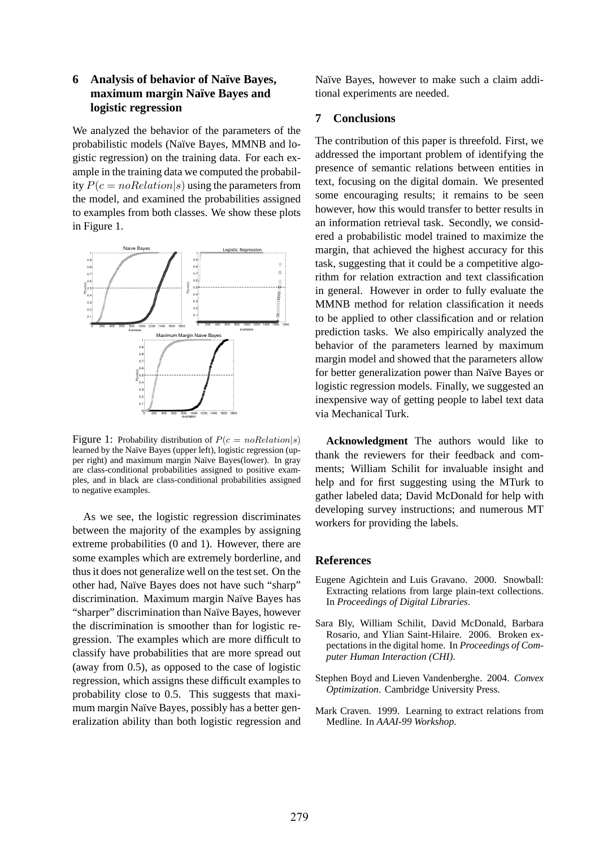# **6 Analysis of behavior of Na¨ıve Bayes, maximum margin Na¨ıve Bayes and logistic regression**

We analyzed the behavior of the parameters of the probabilistic models (Naïve Bayes, MMNB and logistic regression) on the training data. For each example in the training data we computed the probability  $P(c = noRelation|s)$  using the parameters from the model, and examined the probabilities assigned to examples from both classes. We show these plots in Figure 1.



Figure 1: Probability distribution of  $P(c = noRelation|s)$ learned by the Naïve Bayes (upper left), logistic regression (upper right) and maximum margin Naïve Bayes(lower). In gray are class-conditional probabilities assigned to positive examples, and in black are class-conditional probabilities assigned to negative examples.

As we see, the logistic regression discriminates between the majority of the examples by assigning extreme probabilities (0 and 1). However, there are some examples which are extremely borderline, and thus it does not generalize well on the test set. On the other had, Naïve Bayes does not have such "sharp" discrimination. Maximum margin Naïve Bayes has "sharper" discrimination than Naïve Bayes, however the discrimination is smoother than for logistic regression. The examples which are more difficult to classify have probabilities that are more spread out (away from 0.5), as opposed to the case of logistic regression, which assigns these difficult examples to probability close to 0.5. This suggests that maximum margin Naïve Bayes, possibly has a better generalization ability than both logistic regression and

Naïve Bayes, however to make such a claim additional experiments are needed.

# **7 Conclusions**

The contribution of this paper is threefold. First, we addressed the important problem of identifying the presence of semantic relations between entities in text, focusing on the digital domain. We presented some encouraging results; it remains to be seen however, how this would transfer to better results in an information retrieval task. Secondly, we considered a probabilistic model trained to maximize the margin, that achieved the highest accuracy for this task, suggesting that it could be a competitive algorithm for relation extraction and text classification in general. However in order to fully evaluate the MMNB method for relation classification it needs to be applied to other classification and or relation prediction tasks. We also empirically analyzed the behavior of the parameters learned by maximum margin model and showed that the parameters allow for better generalization power than Naïve Bayes or logistic regression models. Finally, we suggested an inexpensive way of getting people to label text data via Mechanical Turk.

**Acknowledgment** The authors would like to thank the reviewers for their feedback and comments; William Schilit for invaluable insight and help and for first suggesting using the MTurk to gather labeled data; David McDonald for help with developing survey instructions; and numerous MT workers for providing the labels.

#### **References**

- Eugene Agichtein and Luis Gravano. 2000. Snowball: Extracting relations from large plain-text collections. In *Proceedings of Digital Libraries*.
- Sara Bly, William Schilit, David McDonald, Barbara Rosario, and Ylian Saint-Hilaire. 2006. Broken expectations in the digital home. In *Proceedings of Computer Human Interaction (CHI)*.
- Stephen Boyd and Lieven Vandenberghe. 2004. *Convex Optimization*. Cambridge University Press.
- Mark Craven. 1999. Learning to extract relations from Medline. In *AAAI-99 Workshop*.